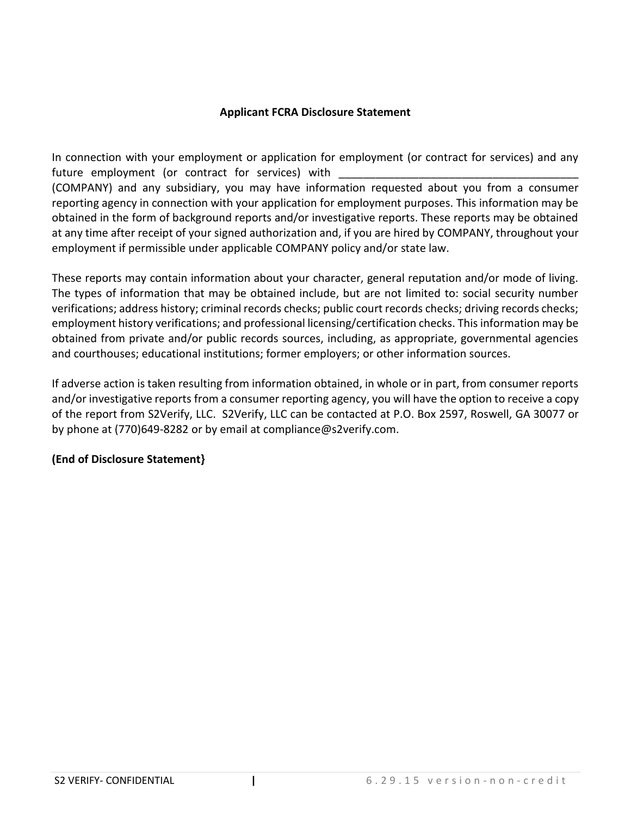# **Applicant FCRA Disclosure Statement**

In connection with your employment or application for employment (or contract for services) and any future employment (or contract for services) with

(COMPANY) and any subsidiary, you may have information requested about you from a consumer reporting agency in connection with your application for employment purposes. This information may be obtained in the form of background reports and/or investigative reports. These reports may be obtained at any time after receipt of your signed authorization and, if you are hired by COMPANY, throughout your employment if permissible under applicable COMPANY policy and/or state law.

These reports may contain information about your character, general reputation and/or mode of living. The types of information that may be obtained include, but are not limited to: social security number verifications; address history; criminal records checks; public court records checks; driving records checks; employment history verifications; and professional licensing/certification checks. This information may be obtained from private and/or public records sources, including, as appropriate, governmental agencies and courthouses; educational institutions; former employers; or other information sources.

If adverse action is taken resulting from information obtained, in whole or in part, from consumer reports and/or investigative reports from a consumer reporting agency, you will have the option to receive a copy of the report from S2Verify, LLC. S2Verify, LLC can be contacted at P.O. Box 2597, Roswell, GA 30077 or by phone at (770)649-8282 or by email at compliance@s2verify.com.

# **(End of Disclosure Statement}**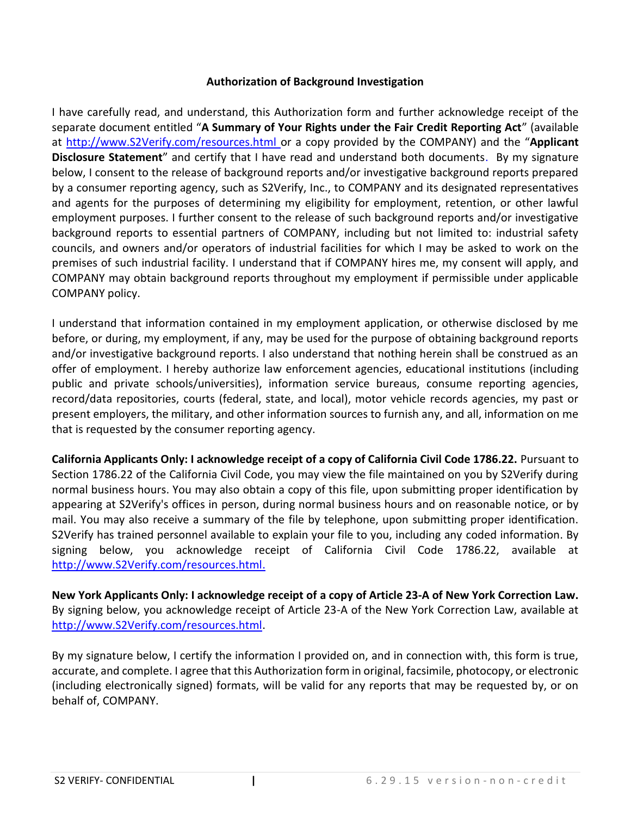### **Authorization of Background Investigation**

I have carefully read, and understand, this Authorization form and further acknowledge receipt of the separate document entitled "**A Summary of Your Rights under the Fair Credit Reporting Act**" (available at [http://www.S2Verify.com/resources.html](http://www.s2verify.com/resources.html) or a copy provided by the COMPANY) and the "**Applicant Disclosure Statement**" and certify that I have read and understand both documents. By my signature below, I consent to the release of background reports and/or investigative background reports prepared by a consumer reporting agency, such as S2Verify, Inc., to COMPANY and its designated representatives and agents for the purposes of determining my eligibility for employment, retention, or other lawful employment purposes. I further consent to the release of such background reports and/or investigative background reports to essential partners of COMPANY, including but not limited to: industrial safety councils, and owners and/or operators of industrial facilities for which I may be asked to work on the premises of such industrial facility. I understand that if COMPANY hires me, my consent will apply, and COMPANY may obtain background reports throughout my employment if permissible under applicable COMPANY policy.

I understand that information contained in my employment application, or otherwise disclosed by me before, or during, my employment, if any, may be used for the purpose of obtaining background reports and/or investigative background reports. I also understand that nothing herein shall be construed as an offer of employment. I hereby authorize law enforcement agencies, educational institutions (including public and private schools/universities), information service bureaus, consume reporting agencies, record/data repositories, courts (federal, state, and local), motor vehicle records agencies, my past or present employers, the military, and other information sources to furnish any, and all, information on me that is requested by the consumer reporting agency.

**California Applicants Only: I acknowledge receipt of a copy of California Civil Code 1786.22.** Pursuant to Section 1786.22 of the California Civil Code, you may view the file maintained on you by S2Verify during normal business hours. You may also obtain a copy of this file, upon submitting proper identification by appearing at S2Verify's offices in person, during normal business hours and on reasonable notice, or by mail. You may also receive a summary of the file by telephone, upon submitting proper identification. S2Verify has trained personnel available to explain your file to you, including any coded information. By signing below, you acknowledge receipt of California Civil Code 1786.22, available at [http://www.S2Verify.com/resources.html.](http://www.s2verify.com/resources.html)

**New York Applicants Only: I acknowledge receipt of a copy of Article 23-A of New York Correction Law.** By signing below, you acknowledge receipt of Article 23-A of the New York Correction Law, available at [http://www.S2Verify.com/resources.html.](http://www.s2verify.com/resources.html)

By my signature below, I certify the information I provided on, and in connection with, this form is true, accurate, and complete. I agree that this Authorization form in original, facsimile, photocopy, or electronic (including electronically signed) formats, will be valid for any reports that may be requested by, or on behalf of, COMPANY.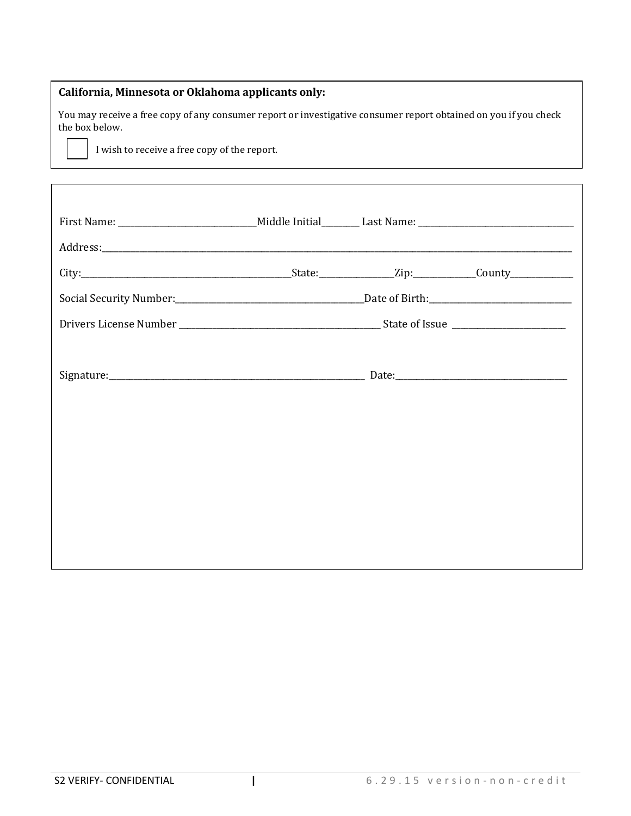# **California, Minnesota or Oklahoma applicants only:**

You may receive a free copy of any consumer report or investigative consumer report obtained on you if you check the box below.

I wish to receive a free copy of the report.